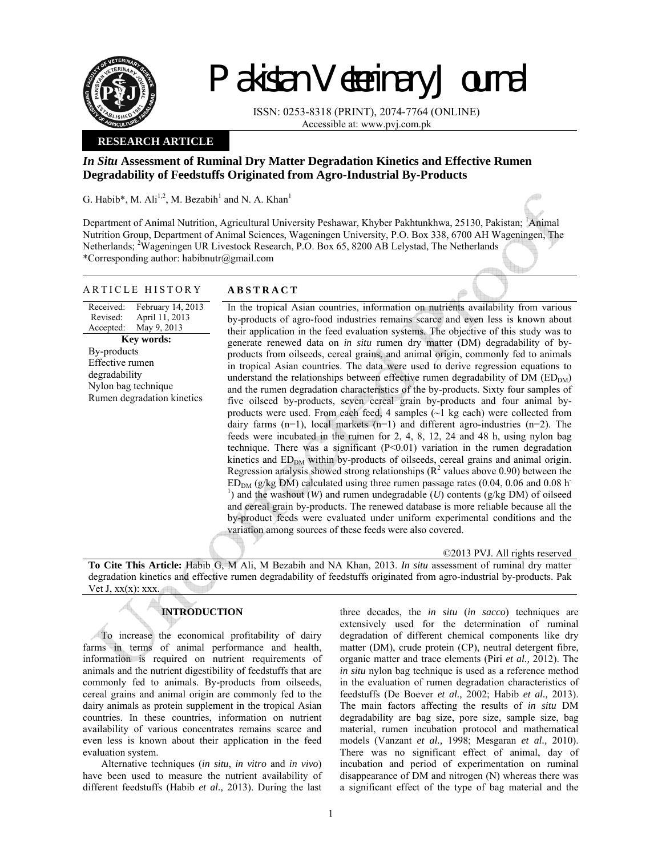

# Pakistan Veterinary Journal

ISSN: 0253-8318 (PRINT), 2074-7764 (ONLINE) Accessible at: www.pvj.com.pk

## **RESEARCH ARTICLE**

# *In Situ* **Assessment of Ruminal Dry Matter Degradation Kinetics and Effective Rumen Degradability of Feedstuffs Originated from Agro-Industrial By-Products**

G. Habib\*, M. Ali<sup>1,2</sup>, M. Bezabih<sup>1</sup> and N. A. Khan<sup>1</sup>

Department of Animal Nutrition, Agricultural University Peshawar, Khyber Pakhtunkhwa, 25130, Pakistan; <sup>1</sup>Animal Nutrition Group, Department of Animal Sciences, Wageningen University, P.O. Box 338, 6700 AH Wageningen, The Netherlands; <sup>2</sup>Wageningen UR Livestock Research, P.O. Box 65, 8200 AB Lelystad, The Netherlands \*Corresponding author: habibnutr@gmail.com

## ARTICLE HISTORY **ABSTRACT**

Received: Revised: Accepted: February 14, 2013 April 11, 2013 May 9, 2013 **Key words:**  By-products Effective rumen degradability Nylon bag technique Rumen degradation kinetics

 In the tropical Asian countries, information on nutrients availability from various by-products of agro-food industries remains scarce and even less is known about their application in the feed evaluation systems. The objective of this study was to generate renewed data on *in situ* rumen dry matter (DM) degradability of byproducts from oilseeds, cereal grains, and animal origin, commonly fed to animals in tropical Asian countries. The data were used to derive regression equations to understand the relationships between effective rumen degradability of  $DM (ED<sub>DM</sub>)$ and the rumen degradation characteristics of the by-products. Sixty four samples of five oilseed by-products, seven cereal grain by-products and four animal byproducts were used. From each feed, 4 samples  $(\sim 1 \text{ kg each})$  were collected from dairy farms  $(n=1)$ , local markets  $(n=1)$  and different agro-industries  $(n=2)$ . The feeds were incubated in the rumen for 2, 4, 8, 12, 24 and 48 h, using nylon bag technique. There was a significant  $(P<0.01)$  variation in the rumen degradation kinetics and  $ED_{DM}$  within by-products of oilseeds, cereal grains and animal origin. Regression analysis showed strong relationships ( $\mathbb{R}^2$  values above 0.90) between the  $ED_{DM}$  (g/kg DM) calculated using three rumen passage rates (0.04, 0.06 and 0.08 h<sup>-</sup> <sup>1</sup>) and the washout (*W*) and rumen undegradable (*U*) contents ( $g/kg$  DM) of oilseed and cereal grain by-products. The renewed database is more reliable because all the by-product feeds were evaluated under uniform experimental conditions and the variation among sources of these feeds were also covered.

©2013 PVJ. All rights reserved

**To Cite This Article:** Habib G, M Ali, M Bezabih and NA Khan, 2013. *In situ* assessment of ruminal dry matter degradation kinetics and effective rumen degradability of feedstuffs originated from agro-industrial by-products. Pak Vet  $J, xx(x)$ : xxx.

# **INTRODUCTION**

To increase the economical profitability of dairy farms in terms of animal performance and health, information is required on nutrient requirements of animals and the nutrient digestibility of feedstuffs that are commonly fed to animals. By-products from oilseeds, cereal grains and animal origin are commonly fed to the dairy animals as protein supplement in the tropical Asian countries. In these countries, information on nutrient availability of various concentrates remains scarce and even less is known about their application in the feed evaluation system.

Alternative techniques (*in situ*, *in vitro* and *in vivo*) have been used to measure the nutrient availability of different feedstuffs (Habib *et al.,* 2013). During the last

three decades, the *in situ* (*in sacco*) techniques are extensively used for the determination of ruminal degradation of different chemical components like dry matter (DM), crude protein (CP), neutral detergent fibre, organic matter and trace elements (Piri *et al.,* 2012). The *in situ* nylon bag technique is used as a reference method in the evaluation of rumen degradation characteristics of feedstuffs (De Boever *et al.,* 2002; Habib *et al.,* 2013). The main factors affecting the results of *in situ* DM degradability are bag size, pore size, sample size, bag material, rumen incubation protocol and mathematical models (Vanzant *et al.,* 1998; Mesgaran *et al.,* 2010). There was no significant effect of animal, day of incubation and period of experimentation on ruminal disappearance of DM and nitrogen (N) whereas there was a significant effect of the type of bag material and the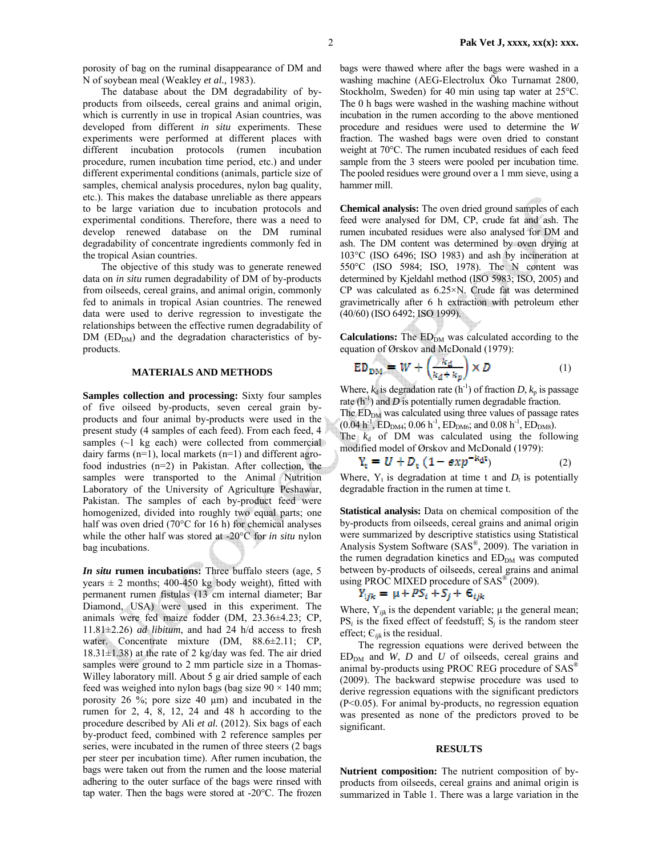porosity of bag on the ruminal disappearance of DM and N of soybean meal (Weakley *et al.,* 1983).

The database about the DM degradability of byproducts from oilseeds, cereal grains and animal origin, which is currently in use in tropical Asian countries, was developed from different *in situ* experiments. These experiments were performed at different places with different incubation protocols (rumen incubation procedure, rumen incubation time period, etc.) and under different experimental conditions (animals, particle size of samples, chemical analysis procedures, nylon bag quality, etc.). This makes the database unreliable as there appears to be large variation due to incubation protocols and experimental conditions. Therefore, there was a need to develop renewed database on the DM ruminal degradability of concentrate ingredients commonly fed in the tropical Asian countries.

The objective of this study was to generate renewed data on *in situ* rumen degradability of DM of by-products from oilseeds, cereal grains, and animal origin, commonly fed to animals in tropical Asian countries. The renewed data were used to derive regression to investigate the relationships between the effective rumen degradability of  $DM$  ( $ED<sub>DM</sub>$ ) and the degradation characteristics of byproducts.

## **MATERIALS AND METHODS**

**Samples collection and processing:** Sixty four samples of five oilseed by-products, seven cereal grain byproducts and four animal by-products were used in the present study (4 samples of each feed). From each feed, 4 samples (~1 kg each) were collected from commercial dairy farms  $(n=1)$ , local markets  $(n=1)$  and different agrofood industries (n=2) in Pakistan. After collection, the samples were transported to the Animal Nutrition Laboratory of the University of Agriculture Peshawar, Pakistan. The samples of each by-product feed were homogenized, divided into roughly two equal parts; one half was oven dried (70°C for 16 h) for chemical analyses while the other half was stored at -20°C for *in situ* nylon bag incubations.

*In situ* **rumen incubations:** Three buffalo steers (age, 5 years  $\pm$  2 months; 400-450 kg body weight), fitted with permanent rumen fistulas (13 cm internal diameter; Bar Diamond, USA) were used in this experiment. The animals were fed maize fodder (DM, 23.36±4.23; CP, 11.81±2.26) *ad libitum*, and had 24 h/d access to fresh water. Concentrate mixture (DM,  $88.6 \pm 2.11$ ; CP,  $18.31\pm1.38$ ) at the rate of 2 kg/day was fed. The air dried samples were ground to 2 mm particle size in a Thomas-Willey laboratory mill. About 5 g air dried sample of each feed was weighed into nylon bags (bag size  $90 \times 140$  mm; porosity 26 %; pore size 40 µm) and incubated in the rumen for 2, 4, 8, 12, 24 and 48 h according to the procedure described by Ali *et al.* (2012). Six bags of each by-product feed, combined with 2 reference samples per series, were incubated in the rumen of three steers (2 bags per steer per incubation time). After rumen incubation, the bags were taken out from the rumen and the loose material adhering to the outer surface of the bags were rinsed with tap water. Then the bags were stored at -20°C. The frozen

bags were thawed where after the bags were washed in a washing machine (AEG-Electrolux Öko Turnamat 2800, Stockholm, Sweden) for 40 min using tap water at 25°C. The 0 h bags were washed in the washing machine without incubation in the rumen according to the above mentioned procedure and residues were used to determine the *W* fraction. The washed bags were oven dried to constant weight at 70°C. The rumen incubated residues of each feed sample from the 3 steers were pooled per incubation time. The pooled residues were ground over a 1 mm sieve, using a hammer mill.

**Chemical analysis:** The oven dried ground samples of each feed were analysed for DM, CP, crude fat and ash. The rumen incubated residues were also analysed for DM and ash. The DM content was determined by oven drying at 103°C (ISO 6496; ISO 1983) and ash by incineration at 550°C (ISO 5984; ISO, 1978). The N content was determined by Kjeldahl method (ISO 5983; ISO, 2005) and CP was calculated as 6.25×N. Crude fat was determined gravimetrically after 6 h extraction with petroleum ether (40/60) (ISO 6492; ISO 1999).

**Calculations:** The ED<sub>DM</sub> was calculated according to the equation of Ørskov and McDonald (1979):

$$
ED_{DM} = W + \left(\frac{k_d}{k_d + k_p}\right) \times D \tag{1}
$$

Where,  $k_d$  is degradation rate (h<sup>-1</sup>) of fraction *D*,  $k_p$  is passage rate  $(h^{-1})$  and *D* is potentially rumen degradable fraction. The  $ED<sub>DM</sub>$  was calculated using three values of passage rates  $(0.04 \text{ h}^{-1}, \text{ED}_{\text{DM4}}; 0.06 \text{ h}^{-1}, \text{ED}_{\text{DM6}}; \text{and } 0.08 \text{ h}^{-1}, \text{ED}_{\text{DM8}}).$ The  $k_d$  of DM was calculated using the following modified model of Ørskov and McDonald (1979):

$$
Y_{\rm c} = U + D_{\rm t} \left( 1 - \exp^{-k_{\rm d}t} \right) \tag{2}
$$

Where,  $Y_t$  is degradation at time t and  $D_t$  is potentially degradable fraction in the rumen at time t.

**Statistical analysis:** Data on chemical composition of the by-products from oilseeds, cereal grains and animal origin were summarized by descriptive statistics using Statistical Analysis System Software (SAS®, 2009). The variation in the rumen degradation kinetics and  $ED<sub>DM</sub>$  was computed between by-products of oilseeds, cereal grains and animal using PROC MIXED procedure of SAS<sup>®</sup> (2009).

$$
Y_{ijk} = \mu + PS_i + S_j + \varepsilon_{ijk}
$$

Where,  $Y_{ijk}$  is the dependent variable;  $\mu$  the general mean;  $PS<sub>i</sub>$  is the fixed effect of feedstuff;  $S<sub>i</sub>$  is the random steer effect; Є*ijk* is the residual.

The regression equations were derived between the  $ED_{DM}$  and *W*, *D* and *U* of oilseeds, cereal grains and animal by-products using PROC REG procedure of SAS® (2009). The backward stepwise procedure was used to derive regression equations with the significant predictors (P<0.05). For animal by-products, no regression equation was presented as none of the predictors proved to be significant.

## **RESULTS**

**Nutrient composition:** The nutrient composition of byproducts from oilseeds, cereal grains and animal origin is summarized in Table 1. There was a large variation in the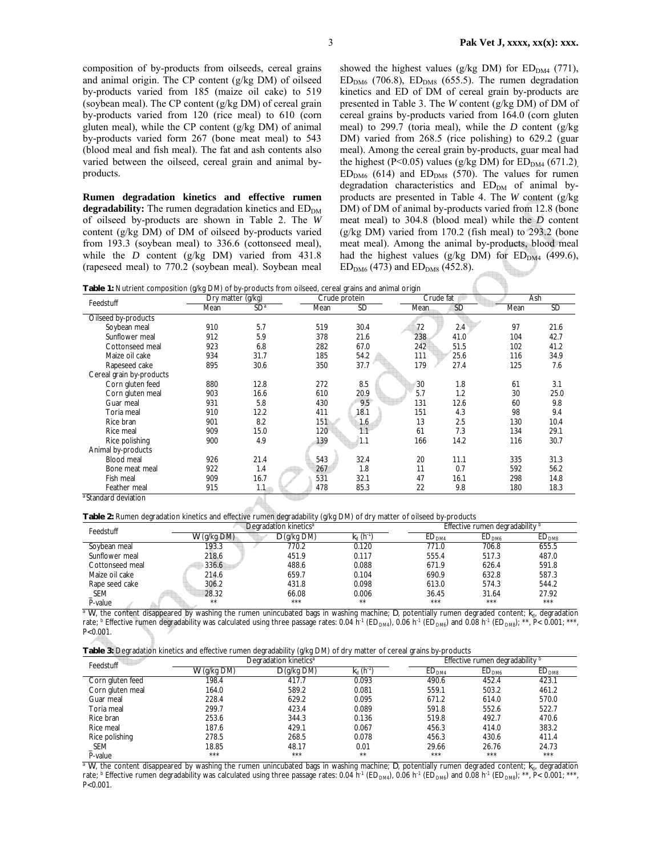composition of by-products from oilseeds, cereal grains and animal origin. The CP content (g/kg DM) of oilseed by-products varied from 185 (maize oil cake) to 519 (soybean meal). The CP content (g/kg DM) of cereal grain by-products varied from 120 (rice meal) to 610 (corn gluten meal), while the CP content (g/kg DM) of animal by-products varied form 267 (bone meat meal) to 543 (blood meal and fish meal). The fat and ash contents also varied between the oilseed, cereal grain and animal byproducts.

**Rumen degradation kinetics and effective rumen degradability:** The rumen degradation kinetics and ED<sub>DM</sub> of oilseed by-products are shown in Table 2. The *W* content (g/kg DM) of DM of oilseed by-products varied from 193.3 (soybean meal) to 336.6 (cottonseed meal), while the *D* content (g/kg DM) varied from 431.8 (rapeseed meal) to 770.2 (soybean meal). Soybean meal showed the highest values (g/kg DM) for  $ED_{DM4}$  (771),  $ED<sub>DM6</sub>$  (706.8),  $ED<sub>DM8</sub>$  (655.5). The rumen degradation kinetics and ED of DM of cereal grain by-products are presented in Table 3. The *W* content (g/kg DM) of DM of cereal grains by-products varied from 164.0 (corn gluten meal) to 299.7 (toria meal), while the *D* content (g/kg DM) varied from 268.5 (rice polishing) to 629.2 (guar meal). Among the cereal grain by-products, guar meal had the highest (P<0.05) values (g/kg DM) for  $ED_{DM4}$  (671.2)  $ED<sub>DM6</sub>$  (614) and  $ED<sub>DM8</sub>$  (570). The values for rumen degradation characteristics and  $ED<sub>DM</sub>$  of animal byproducts are presented in Table 4. The *W* content (g/kg DM) of DM of animal by-products varied from 12.8 (bone meat meal) to 304.8 (blood meal) while the *D* content (g/kg DM) varied from 170.2 (fish meal) to 293.2 (bone meat meal). Among the animal by-products, blood meal had the highest values (g/kg DM) for  $ED_{DM4}$  (499.6),  $ED_{DM6}$  (473) and  $ED_{DM8}$  (452.8). **BASE** 

**Table 1:** Nutrient composition (g/kg DM) of by-products from oilseed, cereal grains and animal origin

| Feedstuff                | Dry matter (g/kg) |                 | Crude protein |           | Crude fat   |           | Ash  |           |
|--------------------------|-------------------|-----------------|---------------|-----------|-------------|-----------|------|-----------|
|                          | Mean              | SD <sup>a</sup> | Mean          | <b>SD</b> | <b>Mean</b> | <b>SD</b> | Mean | <b>SD</b> |
| Oilseed by-products      |                   |                 |               |           |             |           |      |           |
| Soybean meal             | 910               | 5.7             | 519           | 30.4      | 72          | 2.4       | 97   | 21.6      |
| Sunflower meal           | 912               | 5.9             | 378           | 21.6      | 238         | 41.0      | 104  | 42.7      |
| Cottonseed meal          | 923               | 6.8             | 282           | 67.0      | 242         | 51.5      | 102  | 41.2      |
| Maize oil cake           | 934               | 31.7            | 185           | 54.2      | 111         | 25.6      | 116  | 34.9      |
| Rapeseed cake            | 895               | 30.6            | 350           | 37.7      | 179         | 27.4      | 125  | 7.6       |
| Cereal grain by-products |                   |                 |               |           |             |           |      |           |
| Corn gluten feed         | 880               | 12.8            | 272           | 8.5       | 30          | 1.8       | 61   | 3.1       |
| Corn gluten meal         | 903               | 16.6            | 610           | 20.9      | 5.7         | 1.2       | 30   | 25.0      |
| Guar meal                | 931               | 5.8             | 430           | 9.5       | 131         | 12.6      | 60   | 9.8       |
| Toria meal               | 910               | 12.2            | 411           | 18.1      | 151         | 4.3       | 98   | 9.4       |
| Rice bran                | 901               | 8.2             | 151           | 1.6       | 13          | 2.5       | 130  | 10.4      |
| Rice meal                | 909               | 15.0            | 120           | 1.1       | 61          | 7.3       | 134  | 29.1      |
| Rice polishing           | 900               | 4.9             | 139           | 1.1       | 166         | 14.2      | 116  | 30.7      |
| Animal by-products       |                   |                 |               |           |             |           |      |           |
| <b>Blood meal</b>        | 926               | 21.4            | 543           | 32.4      | 20          | 11.1      | 335  | 31.3      |
| Bone meat meal           | 922               | 1.4             | 267           | 1.8       | 11          | 0.7       | 592  | 56.2      |
| Fish meal                | 909               | 16.7            | 531           | 32.1      | 47          | 16.1      | 298  | 14.8      |
| Feather meal             | 915               | 1.1             | 478           | 85.3      | 22          | 9.8       | 180  | 18.3      |
| a Standard deviation     |                   |                 |               |           |             |           |      |           |

**Table 2:** Rumen degradation kinetics and effective rumen degradability (g/kg DM) of dry matter of oilseed by-products

| Feedstuff       |               | Degradation kinetics <sup>a</sup> |       | Effective rumen degradability |                   |                   |  |
|-----------------|---------------|-----------------------------------|-------|-------------------------------|-------------------|-------------------|--|
|                 | $W$ (g/kg DM) | $D$ (g/kg DM)                     |       | $\mathsf{ED}_{\mathsf{DM4}}$  | ED <sub>DMA</sub> | ED <sub>DMS</sub> |  |
| Soybean meal    | 193.3         | 770.2                             | 0.120 | 771.0                         | 706.8             | 655.5             |  |
| Sunflower meal  | 218.6         | 451.9                             | 0.117 | 555.4                         | 517.3             | 487.0             |  |
| Cottonseed meal | 336.6         | 488.6                             | 0.088 | 671.9                         | 626.4             | 591.8             |  |
| Maize oil cake  | 214.6         | 659.7                             | 0.104 | 690.9                         | 632.8             | 587.3             |  |
| Rape seed cake  | 306.2         | 431.8                             | 0.098 | 613.0                         | 574.3             | 544.2             |  |
| _SEM            | 28.32         | 66.08                             | 0.006 | 36.45                         | 31.64             | 27.92             |  |
| P-value         | $**$          | ***                               | **    | ***                           | ***               | ***               |  |

<sup>a</sup> *W*, the content disappeared by washing the rumen unincubated bags in washing machine; *D*, potentially rumen degraded content;  $k_d$ , degradation rate;  $^{\rm b}$  Effective rumen degradability was calculated using three passage rates: 0.04 h<sup>-1</sup> (ED<sub>DM4</sub>), 0.06 h<sup>-1</sup> (ED<sub>DM6</sub>) and 0.08 h<sup>-1</sup> (ED<sub>DM8</sub>); \*\*, P< 0.001; \*\*\*, P<0.001.

|  | Table 3: Degradation kinetics and effective rumen degradability (g/kg DM) of dry matter of cereal grains by-products |  |  |  |  |  |
|--|----------------------------------------------------------------------------------------------------------------------|--|--|--|--|--|
|  |                                                                                                                      |  |  |  |  |  |

| ່ ເສົ້າສ         |               |                                   |                              |                                 |                   |                   |  |  |
|------------------|---------------|-----------------------------------|------------------------------|---------------------------------|-------------------|-------------------|--|--|
| Feedstuff        |               | Degradation kinetics <sup>a</sup> |                              | Effective rumen degradability b |                   |                   |  |  |
|                  | $W$ (g/kg DM) | $D$ (g/kg DM)                     | $k_{\rm d}$ (h <sup>-1</sup> | ED <sub>DMA</sub>               | ED <sub>DMA</sub> | ED <sub>DMS</sub> |  |  |
| Corn gluten feed | 198.4         | 417.7                             | 0.093                        | 490.6                           | 452.4             | 423.1             |  |  |
| Corn gluten meal | 164.0         | 589.2                             | 0.081                        | 559.1                           | 503.2             | 461.2             |  |  |
| Guar meal        | 228.4         | 629.2                             | 0.095                        | 671.2                           | 614.0             | 570.0             |  |  |
| Toria meal       | 299.7         | 423.4                             | 0.089                        | 591.8                           | 552.6             | 522.7             |  |  |
| Rice bran        | 253.6         | 344.3                             | 0.136                        | 519.8                           | 492.7             | 470.6             |  |  |
| Rice meal        | 187.6         | 429.1                             | 0.067                        | 456.3                           | 414.0             | 383.2             |  |  |
| Rice polishing   | 278.5         | 268.5                             | 0.078                        | 456.3                           | 430.6             | 411.4             |  |  |
| _SEM             | 18.85         | 48.17                             | 0.01                         | 29.66                           | 26.76             | 24.73             |  |  |
| P-value          | ***           | ***                               | **                           | ***                             | ***               | ***               |  |  |

<sup>a</sup> *W*, the content disappeared by washing the rumen unincubated bags in washing machine; *D*, potentially rumen degraded content;  $k_d$ , degradation rate;  $^{\rm b}$  Effective rumen degradability was calculated using three passage rates: 0.04 h<sup>-1</sup> (ED<sub>DM4</sub>), 0.06 h<sup>-1</sup> (ED<sub>DM6</sub>) and 0.08 h<sup>-1</sup> (ED<sub>DM8</sub>); \*\*, P< 0.001; \*\*\*, P<0.001.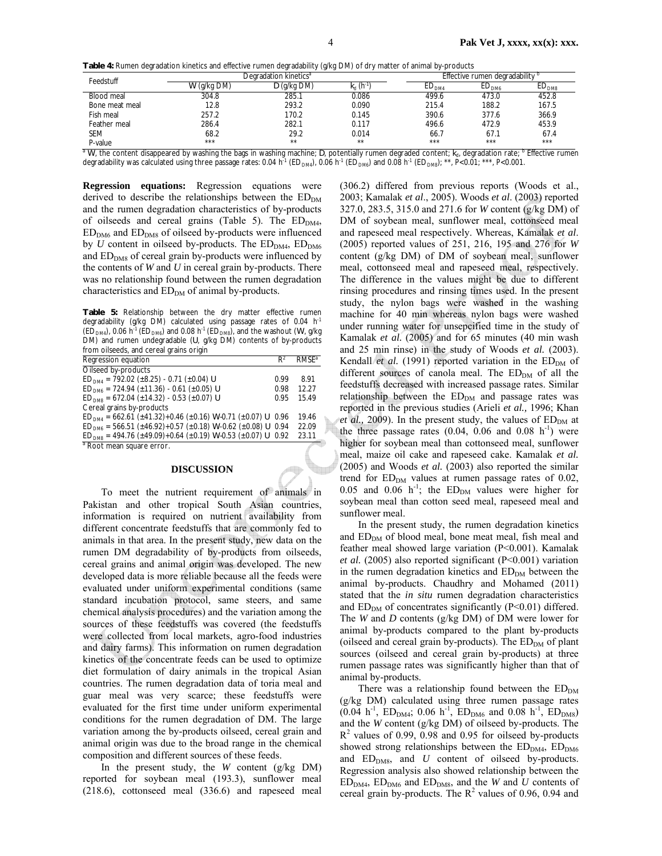|  |  |  | Table 4: Rumen degradation kinetics and effective rumen degradability (g/kg DM) of dry matter of animal by-products |  |
|--|--|--|---------------------------------------------------------------------------------------------------------------------|--|
|  |  |  |                                                                                                                     |  |

|                |               | .                                 |                |                                        |                   |                   |  |
|----------------|---------------|-----------------------------------|----------------|----------------------------------------|-------------------|-------------------|--|
| Feedstuff      |               | Degradation kinetics <sup>a</sup> |                | Effective rumen degradability b        |                   |                   |  |
|                | $W$ (g/kg DM) | $D$ (g/kg DM)                     | $k_{\rm d}$ (h | $\mathsf{t} \mathsf{D}_{\mathsf{DM4}}$ | ED <sub>DMA</sub> | ED <sub>DMS</sub> |  |
| Blood meal     | 304.8         | 285.1                             | 0.086          | 499.6                                  | 473.0             | 452.8             |  |
| Bone meat meal | 12.8          | 293.2                             | 0.090          | 215.4                                  | 188.2             | 167.5             |  |
| Fish meal      | 257.2         | 170.2                             | 0.145          | 390.6                                  | 377.6             | 366.9             |  |
| Feather meal   | 286.4         | 282.1                             | 0.117          | 496.6                                  | 472.9             | 453.9             |  |
| <b>SEM</b>     | 68.2          | 29.2                              | 0.014          | 66.7                                   | 67.1              | 67.4              |  |
| P-value        | ***           | $**$                              | $**$           | ***                                    | ***               | ***               |  |

<sup>a</sup> W, the content disappeared by washing the bags in washing machine; D, potentially rumen degraded content;  $k_{d}$ , degradation rate; <sup>b</sup> Effective rumen degradability was calculated using three passage rates: 0.04 h<sup>-1</sup> (ED<sub>DM4</sub>), 0.06 h<sup>-1</sup> (ED<sub>DM6</sub>), and 0.08 h<sup>-1</sup> (ED<sub>DM8</sub>); \*\*, P<0.01; \*\*\*, P<0.001.

**Regression equations:** Regression equations were derived to describe the relationships between the  $ED_{DM}$ and the rumen degradation characteristics of by-products of oilseeds and cereal grains (Table 5). The  $ED<sub>DMA</sub>$ ,  $ED<sub>DMS</sub>$  and  $ED<sub>DMS</sub>$  of oilseed by-products were influenced by *U* content in oilseed by-products. The  $ED_{DM4}$ ,  $ED_{DM6}$ and  $ED<sub>DMS</sub>$  of cereal grain by-products were influenced by the contents of *W* and *U* in cereal grain by-products. There was no relationship found between the rumen degradation characteristics and  $ED<sub>DM</sub>$  of animal by-products.

**Table 5:** Relationship between the dry matter effective rumen degradability (g/kg DM) calculated using passage rates of 0.04 h<sup>-1</sup>  $(\overline{ED}_{DM4})$ , 0.06 h<sup>-1</sup> ( $\overline{ED}_{DM6}$ ) and 0.08 h<sup>-1</sup> ( $\overline{ED}_{DM8}$ ), and the washout (*W*, g/kg DM) and rumen undegradable (*U*, g/kg DM) contents of by-products from oilseeds, and cereal grains origin

| <u>11 OIII OIISEEUS, altu celeal yrailis OII ym</u>                                    |       |                          |
|----------------------------------------------------------------------------------------|-------|--------------------------|
| Regression equation                                                                    | $R^2$ | <b>RMSF</b> <sup>a</sup> |
| Oilseed by-products                                                                    |       |                          |
| $ED_{DM4} = 792.02 \ (\pm 8.25) - 0.71 \ (\pm 0.04) U$                                 | 0.99  | 891                      |
| $ED_{DM6} = 724.94 (\pm 11.36) - 0.61 (\pm 0.05) U$                                    | 0.98  | 12.27                    |
| $ED_{DM8} = 672.04 \ (\pm 14.32) - 0.53 \ (\pm 0.07) \ U$                              | 0.95  | 15.49                    |
| Cereal grains by-products                                                              |       |                          |
| $ED_{DM4} = 662.61 (\pm 41.32) + 0.46 (\pm 0.16) W \cdot 0.71 (\pm 0.07) U \cdot 0.96$ |       | 19.46                    |
| $ED_{DM6} = 566.51 (\pm 46.92) + 0.57 (\pm 0.18) W - 0.62 (\pm 0.08) U$ 0.94           |       | 22.09                    |
| $ED_{DMS}$ = 494.76 (±49.09)+0.64 (±0.19) W-0.53 (±0.07) U 0.92                        |       | 23.11                    |
| <sup>a</sup> Root mean square error.                                                   |       |                          |

## **DISCUSSION**

To meet the nutrient requirement of animals in Pakistan and other tropical South Asian countries, information is required on nutrient availability from different concentrate feedstuffs that are commonly fed to animals in that area. In the present study, new data on the rumen DM degradability of by-products from oilseeds, cereal grains and animal origin was developed. The new developed data is more reliable because all the feeds were evaluated under uniform experimental conditions (same standard incubation protocol, same steers, and same chemical analysis procedures) and the variation among the sources of these feedstuffs was covered (the feedstuffs were collected from local markets, agro-food industries and dairy farms). This information on rumen degradation kinetics of the concentrate feeds can be used to optimize diet formulation of dairy animals in the tropical Asian countries. The rumen degradation data of toria meal and guar meal was very scarce; these feedstuffs were evaluated for the first time under uniform experimental conditions for the rumen degradation of DM. The large variation among the by-products oilseed, cereal grain and animal origin was due to the broad range in the chemical composition and different sources of these feeds.

In the present study, the *W* content (g/kg DM) reported for soybean meal (193.3), sunflower meal (218.6), cottonseed meal (336.6) and rapeseed meal (306.2) differed from previous reports (Woods et al., 2003; Kamalak *et al*., 2005). Woods *et al*. (2003) reported 327.0, 283.5, 315.0 and 271.6 for *W* content (g/kg DM) of DM of soybean meal, sunflower meal, cottonseed meal and rapeseed meal respectively. Whereas, Kamalak *et al*. (2005) reported values of 251, 216, 195 and 276 for *W* content (g/kg DM) of DM of soybean meal, sunflower meal, cottonseed meal and rapeseed meal, respectively. The difference in the values might be due to different rinsing procedures and rinsing times used. In the present study, the nylon bags were washed in the washing machine for 40 min whereas nylon bags were washed under running water for unsepcified time in the study of Kamalak *et al.* (2005) and for 65 minutes (40 min wash and 25 min rinse) in the study of Woods *et al.* (2003). Kendall *et al.* (1991) reported variation in the ED<sub>DM</sub> of different sources of canola meal. The  $ED_{DM}$  of all the feedstuffs decreased with increased passage rates. Similar relationship between the  $ED<sub>DM</sub>$  and passage rates was reported in the previous studies (Arieli *et al.,* 1996; Khan *et al.*, 2009). In the present study, the values of  $ED_{DM}$  at the three passage rates  $(0.04, 0.06 \text{ and } 0.08 \text{ h}^{-1})$  were higher for soybean meal than cottonseed meal, sunflower meal, maize oil cake and rapeseed cake. Kamalak *et al.* (2005) and Woods *et al.* (2003) also reported the similar trend for  $ED_{DM}$  values at rumen passage rates of 0.02, 0.05 and 0.06 h<sup>-1</sup>; the  $ED_{DM}$  values were higher for soybean meal than cotton seed meal, rapeseed meal and sunflower meal.

In the present study, the rumen degradation kinetics and  $ED<sub>DM</sub>$  of blood meal, bone meat meal, fish meal and feather meal showed large variation (P<0.001). Kamalak *et al.* (2005) also reported significant (P<0.001) variation in the rumen degradation kinetics and  $ED<sub>DM</sub>$  between the animal by-products. Chaudhry and Mohamed (2011) stated that the *in situ* rumen degradation characteristics and  $ED_{DM}$  of concentrates significantly (P<0.01) differed. The *W* and *D* contents (g/kg DM) of DM were lower for animal by-products compared to the plant by-products (oilseed and cereal grain by-products). The  $ED<sub>DM</sub>$  of plant sources (oilseed and cereal grain by-products) at three rumen passage rates was significantly higher than that of animal by-products.

There was a relationship found between the  $ED_{DM}$ (g/kg DM) calculated using three rumen passage rates  $(0.04 \text{ h}^{-1}, \text{ ED}_{\text{DM4}}; 0.06 \text{ h}^{-1}, \text{ ED}_{\text{DM6}} \text{ and } 0.08 \text{ h}^{-1}, \text{ ED}_{\text{DM8}})$ and the *W* content (g/kg DM) of oilseed by-products. The  $R<sup>2</sup>$  values of 0.99, 0.98 and 0.95 for oilseed by-products showed strong relationships between the  $ED<sub>DMA</sub>$ ,  $ED<sub>DM6</sub>$ and  $ED<sub>DMS</sub>$ , and *U* content of oilseed by-products. Regression analysis also showed relationship between the  $ED_{DM4}$ ,  $ED_{DM6}$  and  $ED_{DM8}$ , and the *W* and *U* contents of cereal grain by-products. The  $R^2$  values of 0.96, 0.94 and